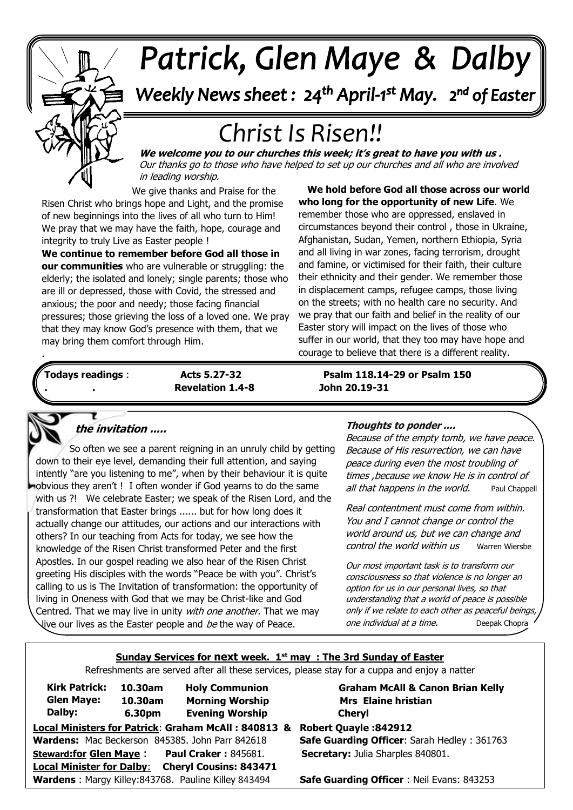

# Patrick, Glen Maye & Dalby

Weekly News sheet: 24<sup>th</sup> April-1<sup>st</sup> May. 2<sup>nd</sup> of Easter

# *Christ Is Risen!!*

 Our thanks go to those who have helped to set up our churches and all who are involved **We welcome you to our churches this week; it's great to have you with us .**  in leading worship.

**.** We give thanks and Praise for the Risen Christ who brings hope and Light, and the promise of new beginnings into the lives of all who turn to Him! We pray that we may have the faith, hope, courage and integrity to truly Live as Easter people !

elderly, the isolated and lonely, single parents, those w<br>are ill or depressed, those with Covid, the stressed and anxious; the poor and needy; those facing financial<br>nuclearings those gripting the lose of a lough and MA  that they may know God's presence with them, that we **We continue to remember before God all those in our communities** who are vulnerable or struggling: the elderly; the isolated and lonely; single parents; those who pressures; those grieving the loss of a loved one. We pray may bring them comfort through Him.

. **We hold before God all those across our world who long for the opportunity of new Life**. We remember those who are oppressed, enslaved in circumstances beyond their control , those in Ukraine, Afghanistan, Sudan, Yemen, northern Ethiopia, Syria and all living in war zones, facing terrorism, drought and famine, or victimised for their faith, their culture their ethnicity and their gender. We remember those in displacement camps, refugee camps, those living on the streets; with no health care no security. And we pray that our faith and belief in the reality of our Easter story will impact on the lives of those who suffer in our world, that they too may have hope and courage to believe that there is a different reality.

ſ

Ÿ

*June: Trinity Sunday* **. . Revelation 1.4-8 John 20.19-31**

**Todays readings** : **Acts 5.27-32 Psalm 118.14-29 or Psalm 150** 



.

## **the invitation .....**

 down to their eye level, demanding their full attention, and saying  obvious they aren't ! I often wonder if God yearns to do the same with us ?! We celebrate Easter; we speak of the Risen Lord, and the  actually change our attitudes, our actions and our interactions with  Apostles. In our gospel reading we also hear of the Risen Christ  greeting His disciples with the words "Peace be with you". Christ's So often we see a parent reigning in an unruly child by getting intently "are you listening to me", when by their behaviour it is quite transformation that Easter brings ...... but for how long does it others? In our teaching from Acts for today, we see how the knowledge of the Risen Christ transformed Peter and the first calling to us is The Invitation of transformation: the opportunity of living in Oneness with God that we may be Christ-like and God Centred. That we may live in unity with one another. That we may live our lives as the Easter people and be the way of Peace.

#### **Thoughts to ponder ....**

Because of the empty tomb, we have peace. Because of His resurrection, we can have peace during even the most troubling of times ,because we know He is in control of all that happens in the world. Paul Chappell

Real contentment must come from within. You and I cannot change or control the world around us, but we can change and control the world within us Warren Wiersbe

Our most important task is to transform our consciousness so that violence is no longer an option for us in our personal lives, so that understanding that a world of peace is possible only if we relate to each other as peaceful beings, one individual at a time. [Deepak Chopra](https://livinglifefully.com/people/deepakchopra.htm)

#### **Sunday Services for next week. 1st may : The 3rd Sunday of Easter**

Refreshments are served after all these services, please stay for a cuppa and enjoy a natter

| 10.30am | <b>Holy Communion</b>                                             | <b>Graham McAll &amp; Canon Brian Kelly</b>                                                                                                                                                                                           |
|---------|-------------------------------------------------------------------|---------------------------------------------------------------------------------------------------------------------------------------------------------------------------------------------------------------------------------------|
| 10.30am | <b>Morning Worship</b>                                            | <b>Mrs</b> Elaine hristian                                                                                                                                                                                                            |
| 6.30pm  | <b>Evening Worship</b>                                            | <b>Cheryl</b>                                                                                                                                                                                                                         |
|         |                                                                   | <b>Robert Quayle: 842912</b>                                                                                                                                                                                                          |
|         |                                                                   | <b>Safe Guarding Officer: Sarah Hedley: 361763</b>                                                                                                                                                                                    |
|         |                                                                   | Secretary: Julia Sharples 840801.                                                                                                                                                                                                     |
|         |                                                                   |                                                                                                                                                                                                                                       |
|         |                                                                   | <b>Safe Guarding Officer: Neil Evans: 843253</b>                                                                                                                                                                                      |
|         | <b>Steward:for Glen Maye:</b><br><b>Local Minister for Dalby:</b> | Local Ministers for Patrick: Graham McAll: 840813 &<br>Wardens: Mac Beckerson 845385. John Parr 842618<br><b>Paul Craker: 845681.</b><br><b>Cheryl Cousins: 843471</b><br><b>Wardens: Margy Killey: 843768. Pauline Killey 843494</b> |